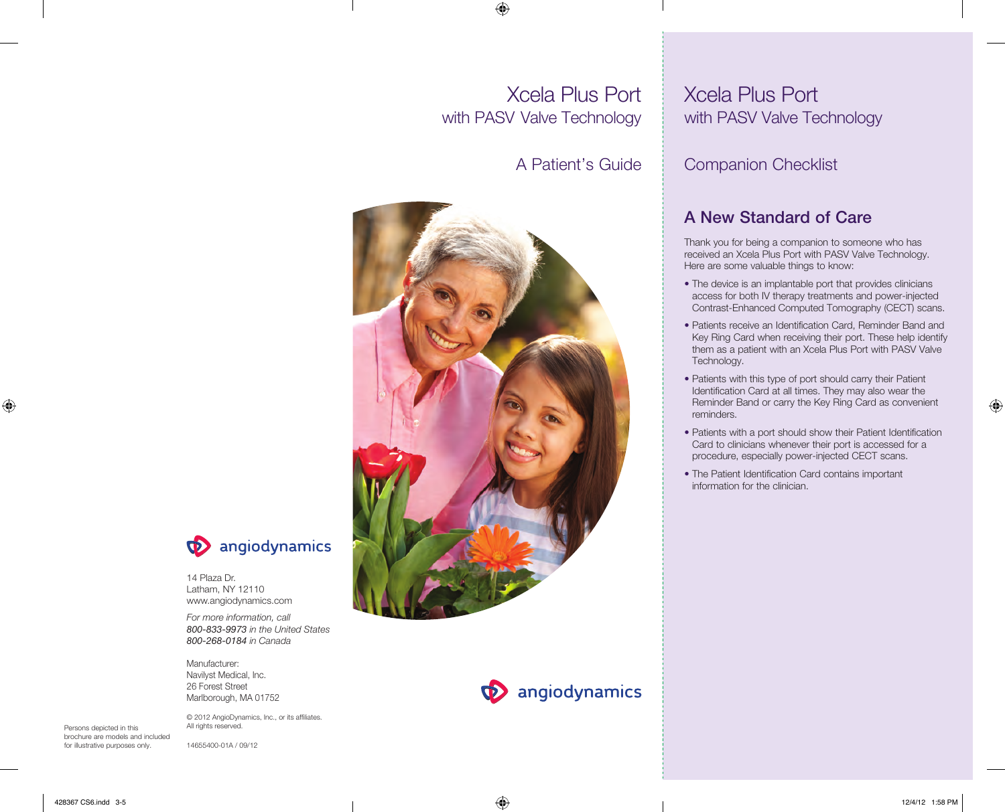# ⊕

# Xcela Plus Port with PASV Valve Technology

◈

# A Patient's Guide





14 Plaza Dr. Latham, NY 12110 www.angiodynamics.com

*For more information, call 800-833-9973 in the United States 800-268-0184 in Canada* 

Manufacturer: Navilyst Medical, Inc. 26 Forest Street Marlborough, MA 01752

Persons depicted in this brochure are models and included for illustrative purposes only.

© 2012 AngioDynamics, Inc., or its affiliates. All rights reserved.

14655400-01A / 09/12

# Xcela Plus Port with PASV Valve Technology

# Companion Checklist

# A New Standard of Care

Thank you for being a companion to someone who has received an Xcela Plus Port with PASV Valve Technology. Here are some valuable things to know:

- The device is an implantable port that provides clinicians access for both IV therapy treatments and power-injected Contrast-Enhanced Computed Tomography (CECT) scans.
- Patients receive an Identification Card, Reminder Band and Key Ring Card when receiving their port. These help identify them as a patient with an Xcela Plus Port with PASV Valve Technology.
- Patients with this type of port should carry their Patient Identification Card at all times. They may also wear the Reminder Band or carry the Key Ring Card as convenient reminders.
- Patients with a port should show their Patient Identification Card to clinicians whenever their port is accessed for a procedure, especially power-injected CECT scans.
- The Patient Identification Card contains important information for the clinician.

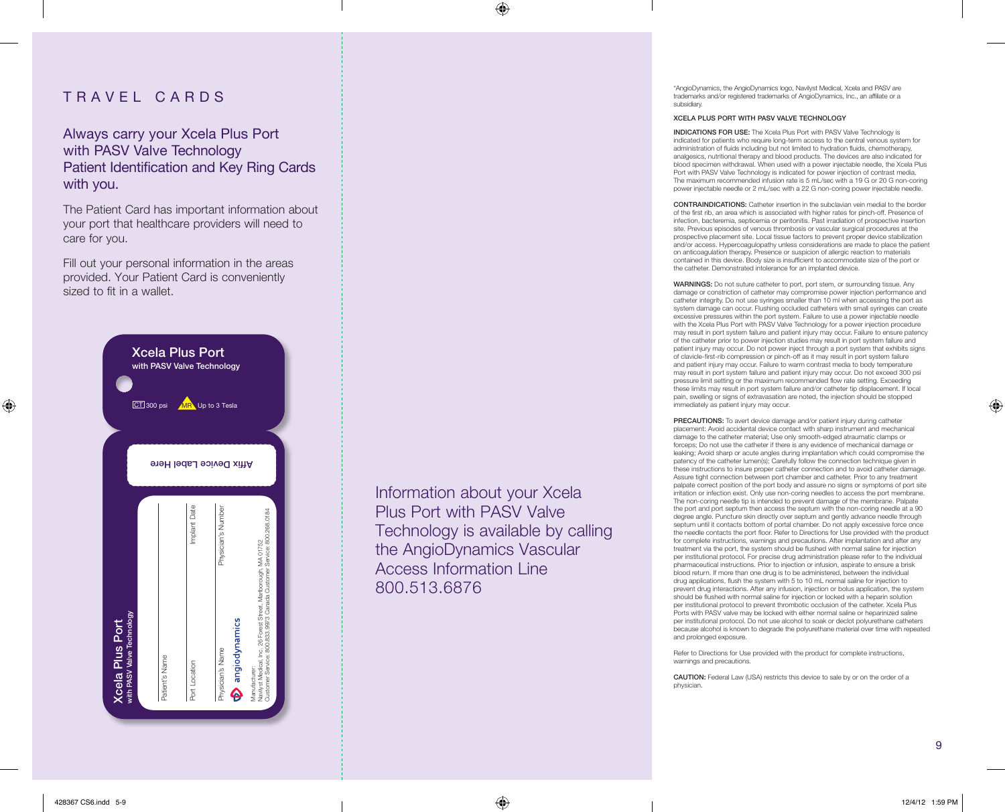### TRAVEL CARDS

Always carry your Xcela Plus Port with PASV Valve Technology Patient Identification and Key Ring Cards with you.

The Patient Card has important information about your port that healthcare providers will need to care for you.

Fill out your personal information in the areas provided. Your Patient Card is conveniently sized to fit in a wallet.



Information about your Xcela Plus Port with PASV Valve Technology is available by calling the AngioDynamics Vascular Access Information Line 800.513.6876

◈

\*AngioDynamics, the AngioDynamics logo, Navilyst Medical, Xcela and PASV are trademarks and/or registered trademarks of AngioDynamics, Inc., an affiliate or a subsidiary.

#### XCELA PLUS PORT WITH PASV VALVE TECHNOLOGY

INDICATIONS FOR USE: The Xcela Plus Port with PASV Valve Technology is indicated for patients who require long-term access to the central venous system for administration of fluids including but not limited to hydration fluids, chemotherapy, analgesics, nutritional therapy and blood products. The devices are also indicated for blood specimen withdrawal. When used with a power injectable needle, the Xcela Plus Port with PASV Valve Technology is indicated for power injection of contrast media. The maximum recommended infusion rate is 5 mL/sec with a 19 G or 20 G non-coring power injectable needle or 2 mL/sec with a 22 G non-coring power injectable needle.

CONTRAINDICATIONS: Catheter insertion in the subclavian vein medial to the border of the first rib, an area which is associated with higher rates for pinch-off. Presence of infection, bacteremia, septicemia or peritonitis. Past irradiation of prospective insertion site. Previous episodes of venous thrombosis or vascular surgical procedures at the prospective placement site. Local tissue factors to prevent proper device stabilization and/or access. Hypercoagulopathy unless considerations are made to place the patient on anticoagulation therapy. Presence or suspicion of allergic reaction to materials contained in this device. Body size is insufficient to accommodate size of the port or the catheter. Demonstrated intolerance for an implanted device.

WARNINGS: Do not suture catheter to port, port stem, or surrounding tissue. Any damage or constriction of catheter may compromise power injection performance and catheter integrity. Do not use syringes smaller than 10 ml when accessing the port as system damage can occur. Flushing occluded catheters with small syringes can create excessive pressures within the port system. Failure to use a power injectable needle with the Xcela Plus Port with PASV Valve Technology for a power injection procedure may result in port system failure and patient injury may occur. Failure to ensure patency of the catheter prior to power injection studies may result in port system failure and patient injury may occur. Do not power inject through a port system that exhibits signs of clavicle-first-rib compression or pinch-off as it may result in port system failure and patient injury may occur. Failure to warm contrast media to body temperature may result in port system failure and patient injury may occur. Do not exceed 300 psi pressure limit setting or the maximum recommended flow rate setting. Exceeding these limits may result in port system failure and/or catheter tip displacement. If local pain, swelling or signs of extravasation are noted, the injection should be stopped immediately as patient injury may occur.

PRECAUTIONS: To avert device damage and/or patient injury during catheter placement: Avoid accidental device contact with sharp instrument and mechanical damage to the catheter material; Use only smooth-edged atraumatic clamps or forceps; Do not use the catheter if there is any evidence of mechanical damage or leaking; Avoid sharp or acute angles during implantation which could compromise the patency of the catheter lumen(s); Carefully follow the connection technique given in these instructions to insure proper catheter connection and to avoid catheter damage. Assure tight connection between port chamber and catheter. Prior to any treatment palpate correct position of the port body and assure no signs or symptoms of port site irritation or infection exist. Only use non-coring needles to access the port membrane. The non-coring needle tip is intended to prevent damage of the membrane. Palpate the port and port septum then access the septum with the non-coring needle at a 90 degree angle. Puncture skin directly over septum and gently advance needle through septum until it contacts bottom of portal chamber. Do not apply excessive force once the needle contacts the port floor. Refer to Directions for Use provided with the product for complete instructions, warnings and precautions. After implantation and after any treatment via the port, the system should be flushed with normal saline for injection per institutional protocol. For precise drug administration please refer to the individual pharmaceutical instructions. Prior to injection or infusion, aspirate to ensure a brisk blood return. If more than one drug is to be administered, between the individual drug applications, flush the system with 5 to 10 mL normal saline for injection to prevent drug interactions. After any infusion, injection or bolus application, the system should be flushed with normal saline for injection or locked with a heparin solution per institutional protocol to prevent thrombotic occlusion of the catheter. Xcela Plus Ports with PASV valve may be locked with either normal saline or heparinized saline per institutional protocol. Do not use alcohol to soak or declot polyurethane catheters because alcohol is known to degrade the polyurethane material over time with repeated and prolonged exposure.

Refer to Directions for Use provided with the product for complete instructions, warnings and precautions.

CAUTION: Federal Law (USA) restricts this device to sale by or on the order of a physician.

9

◈

⊕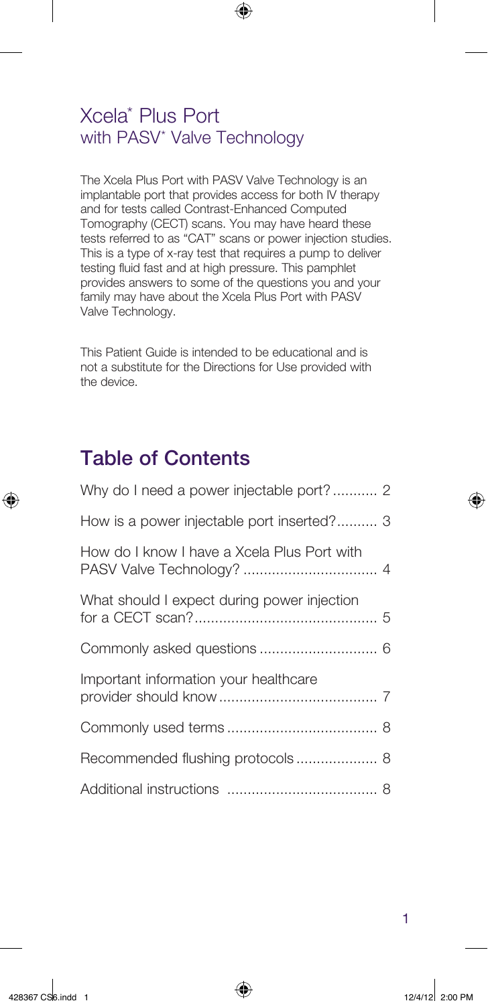### Xcela\* Plus Port with PASV\* Valve Technology

The Xcela Plus Port with PASV Valve Technology is an implantable port that provides access for both IV therapy and for tests called Contrast-Enhanced Computed Tomography (CECT) scans. You may have heard these tests referred to as "CAT" scans or power injection studies. This is a type of x-ray test that requires a pump to deliver testing fluid fast and at high pressure. This pamphlet provides answers to some of the questions you and your family may have about the Xcela Plus Port with PASV Valve Technology.

 $\bigoplus$ 

This Patient Guide is intended to be educational and is not a substitute for the Directions for Use provided with the device.

# Table of Contents

| Why do I need a power injectable port? 2    |
|---------------------------------------------|
| How is a power injectable port inserted? 3  |
| How do I know I have a Xcela Plus Port with |
| What should I expect during power injection |
|                                             |
| Important information your healthcare       |
|                                             |
| Recommended flushing protocols 8            |
|                                             |

⊕

⊕

1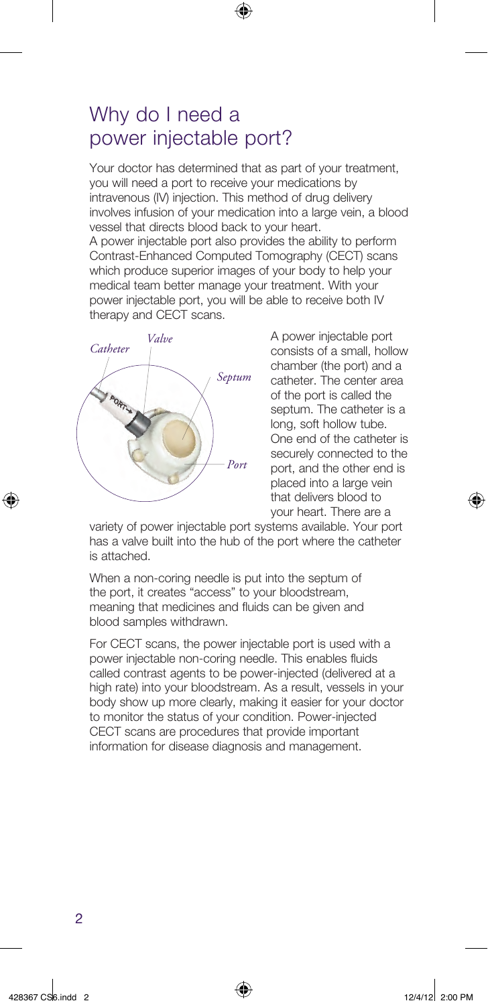### Why do I need a power injectable port?

Your doctor has determined that as part of your treatment, you will need a port to receive your medications by intravenous (IV) injection. This method of drug delivery involves infusion of your medication into a large vein, a blood vessel that directs blood back to your heart. A power injectable port also provides the ability to perform Contrast-Enhanced Computed Tomography (CECT) scans which produce superior images of your body to help your medical team better manage your treatment. With your power injectable port, you will be able to receive both IV therapy and CECT scans.

◈



A power injectable port consists of a small, hollow chamber (the port) and a catheter. The center area of the port is called the septum. The catheter is a long, soft hollow tube. One end of the catheter is securely connected to the port, and the other end is placed into a large vein that delivers blood to your heart. There are a

variety of power injectable port systems available. Your port has a valve built into the hub of the port where the catheter is attached.

When a non-coring needle is put into the septum of the port, it creates "access" to your bloodstream, meaning that medicines and fluids can be given and blood samples withdrawn.

For CECT scans, the power injectable port is used with a power injectable non-coring needle. This enables fluids called contrast agents to be power-injected (delivered at a high rate) into your bloodstream. As a result, vessels in your body show up more clearly, making it easier for your doctor to monitor the status of your condition. Power-injected CECT scans are procedures that provide important information for disease diagnosis and management.

⊕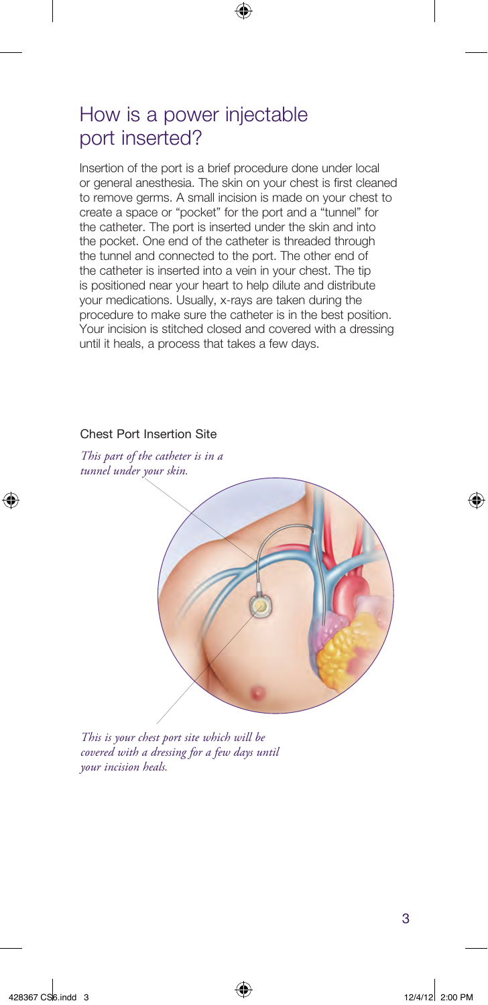# How is a power injectable port inserted?

Insertion of the port is a brief procedure done under local or general anesthesia. The skin on your chest is first cleaned to remove germs. A small incision is made on your chest to create a space or "pocket" for the port and a "tunnel" for the catheter. The port is inserted under the skin and into the pocket. One end of the catheter is threaded through the tunnel and connected to the port. The other end of the catheter is inserted into a vein in your chest. The tip is positioned near your heart to help dilute and distribute your medications. Usually, x-rays are taken during the procedure to make sure the catheter is in the best position. Your incision is stitched closed and covered with a dressing until it heals, a process that takes a few days.

 $\bigoplus$ 

### Chest Port Insertion Site

*This part of the catheter is in a tunnel under your skin.*



*This is your chest port site which will be covered with a dressing for a few days until your incision heals.*

⊕

⊕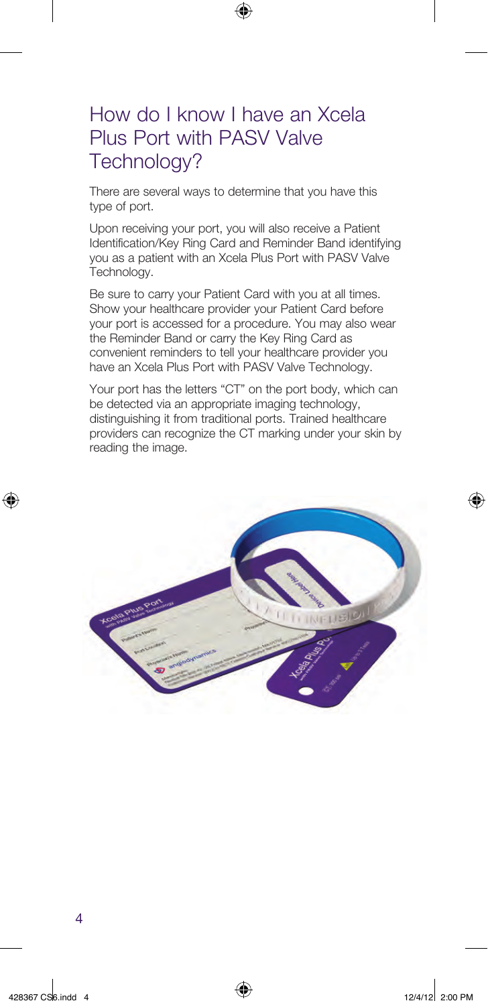# How do I know I have an Xcela Plus Port with PASV Valve Technology?

⊕

There are several ways to determine that you have this type of port.

Upon receiving your port, you will also receive a Patient Identification/Key Ring Card and Reminder Band identifying you as a patient with an Xcela Plus Port with PASV Valve Technology.

Be sure to carry your Patient Card with you at all times. Show your healthcare provider your Patient Card before your port is accessed for a procedure. You may also wear the Reminder Band or carry the Key Ring Card as convenient reminders to tell your healthcare provider you have an Xcela Plus Port with PASV Valve Technology.

Your port has the letters "CT" on the port body, which can be detected via an appropriate imaging technology, distinguishing it from traditional ports. Trained healthcare providers can recognize the CT marking under your skin by reading the image.



⊕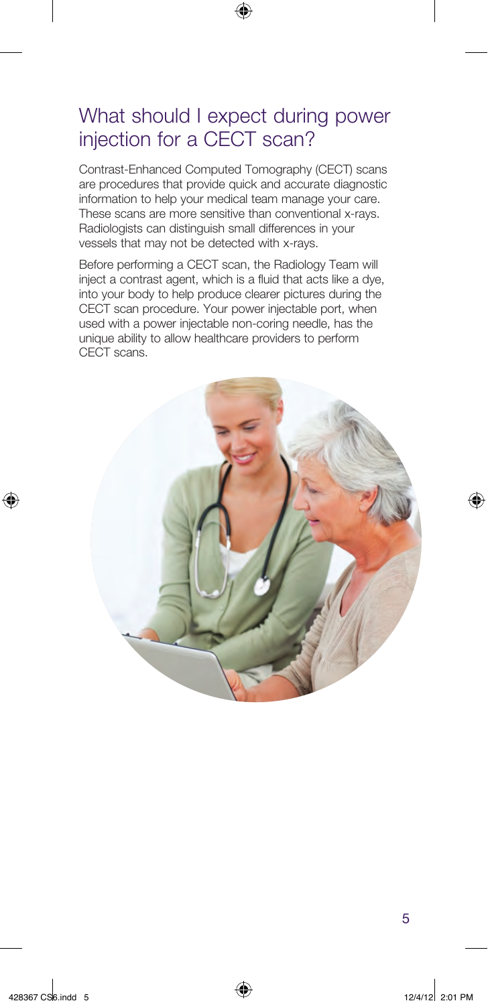# What should I expect during power injection for a CECT scan?

◈

Contrast-Enhanced Computed Tomography (CECT) scans are procedures that provide quick and accurate diagnostic information to help your medical team manage your care. These scans are more sensitive than conventional x-rays. Radiologists can distinguish small differences in your vessels that may not be detected with x-rays.

Before performing a CECT scan, the Radiology Team will inject a contrast agent, which is a fluid that acts like a dye, into your body to help produce clearer pictures during the CECT scan procedure. Your power injectable port, when used with a power injectable non-coring needle, has the unique ability to allow healthcare providers to perform CECT scans.



⊕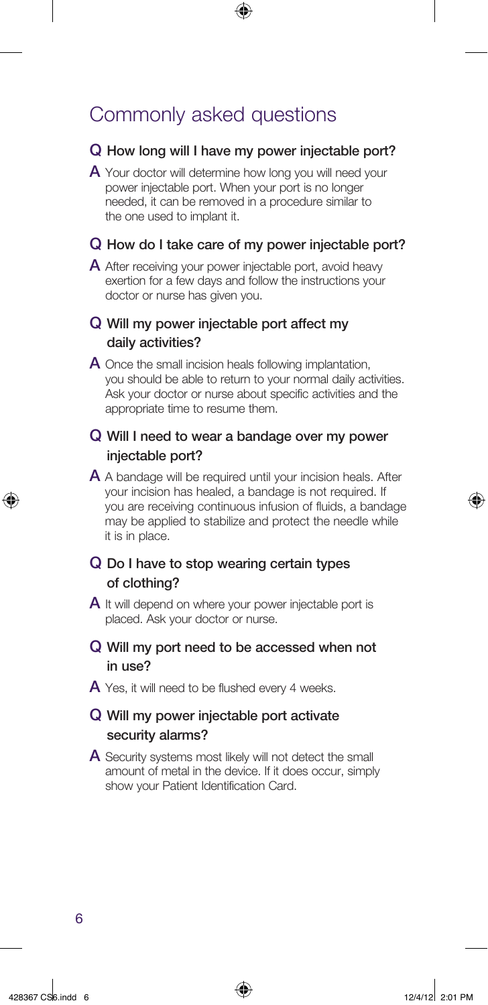# Commonly asked questions

#### Q How long will I have my power injectable port?

⊕

A Your doctor will determine how long you will need your power injectable port. When your port is no longer needed, it can be removed in a procedure similar to the one used to implant it.

#### Q How do I take care of my power injectable port?

A After receiving your power injectable port, avoid heavy exertion for a few days and follow the instructions your doctor or nurse has given you.

### Q Will my power injectable port affect my daily activities?

A Once the small incision heals following implantation, you should be able to return to your normal daily activities. Ask your doctor or nurse about specific activities and the appropriate time to resume them.

### Q Will I need to wear a bandage over my power injectable port?

A A bandage will be required until your incision heals. After your incision has healed, a bandage is not required. If you are receiving continuous infusion of fluids, a bandage may be applied to stabilize and protect the needle while it is in place.

### Q Do I have to stop wearing certain types of clothing?

A It will depend on where your power injectable port is placed. Ask your doctor or nurse.

### Q Will my port need to be accessed when not in use?

 $\overline{A}$  Yes, it will need to be flushed every 4 weeks.

### Q Will my power injectable port activate security alarms?

A Security systems most likely will not detect the small amount of metal in the device. If it does occur, simply show your Patient Identification Card.

6

⊕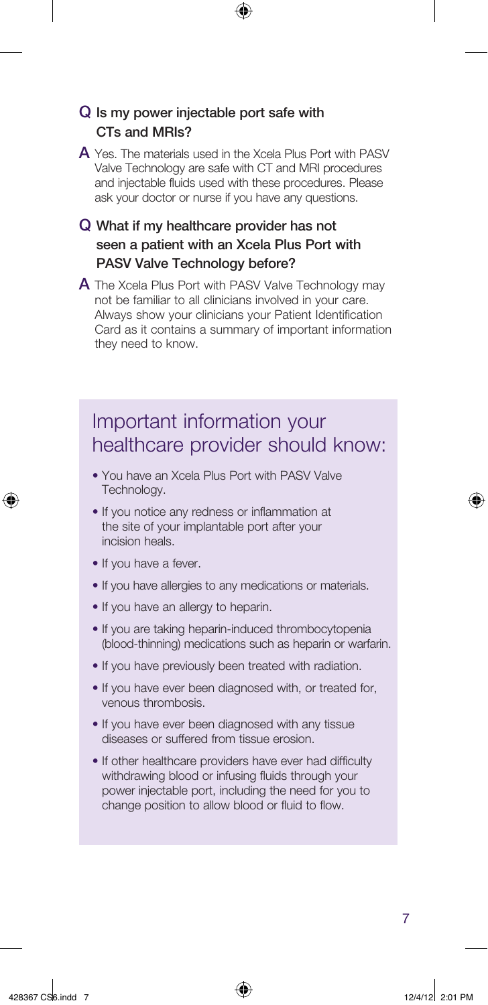### Q Is my power injectable port safe with CTs and MRIs?

A Yes. The materials used in the Xcela Plus Port with PASV Valve Technology are safe with CT and MRI procedures and injectable fluids used with these procedures. Please ask your doctor or nurse if you have any questions.

⊕

### Q What if my healthcare provider has not seen a patient with an Xcela Plus Port with PASV Valve Technology before?

A The Xcela Plus Port with PASV Valve Technology may not be familiar to all clinicians involved in your care. Always show your clinicians your Patient Identification Card as it contains a summary of important information they need to know.

# Important information your healthcare provider should know:

- You have an Xcela Plus Port with PASV Valve Technology.
- If you notice any redness or inflammation at the site of your implantable port after your incision heals.
- If you have a fever.
- If you have allergies to any medications or materials.
- If you have an allergy to heparin.
- If you are taking heparin-induced thrombocytopenia (blood-thinning) medications such as heparin or warfarin.
- If you have previously been treated with radiation.
- If you have ever been diagnosed with, or treated for, venous thrombosis.
- If you have ever been diagnosed with any tissue diseases or suffered from tissue erosion.
- If other healthcare providers have ever had difficulty withdrawing blood or infusing fluids through your power injectable port, including the need for you to change position to allow blood or fluid to flow.

7

428367 CS6.indd 7 12/4/12 2:01 PM

⊕